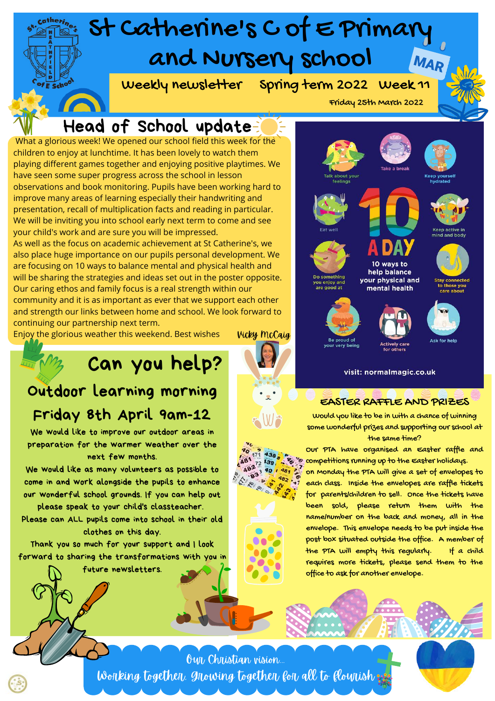### St Catherine's C of E Primary and Nursery school MAR Weekly newsletter Spring term 2022 Week 11 Scho Friday 25th March 2022 Head of School update What a glorious week! We opened our school field this week for the children to enjoy at lunchtime. It has been lovely to watch them playing different games together and enjoying positive playtimes. We have seen some super progress across the school in lesson observations and book monitoring. Pupils have been working hard to

improve many areas of learning especially their handwriting and presentation, recall of multiplication facts and reading in particular. We will be inviting you into school early next term to come and see your child's work and are sure you will be impressed.

As well as the focus on academic achievement at St Catherine's, we also place huge importance on our pupils personal development. We are focusing on 10 ways to balance mental and physical health and will be sharing the strategies and ideas set out in the poster opposite. Our caring ethos and family focus is a real strength within our community and it is as important as ever that we support each other and strength our links between home and school. We look forward to continuing our partnership next term.

Enjoy the glorious weather this weekend. Best wishes

## Can you help?

### Outdoor learning morning Friday 8th April 9am-12

We would like to improve our outdoor areas in preparation for the warmer weather over the next few months.

We would like as many volunteers as possible to come in and work alongside the pupils to enhance our wonderful school grounds. If you can help out

please speak to your child's classteacher. Please can ALL pupils come into school in their old clothes on this day.

Thank you so much for your support and I look forward to sharing the transformations with you in

future newsletters.

Vicky McCaig



# 10 ways to help balance your physical and mental health



visit: normalmagic.co.uk

### EASTER RAFFLE AND PRIZES

Would you like to be in with a chance of winning some wonderful prizes and supporting our school at the same time?

Our PTA have organised an Easter raffle and competitions running up to the Easter holidays.

on Monday the PTA will give a set of envelopes to each class. Inside the envelopes are raffle tickets for parents/children to sell. Once the tickets have been sold, please return them with the name/number on the back and money, all in the envelope. This envelope needs to be put inside the post box situated outside the office. A member of the PTA will empty this regularly. If a child requires more tickets, please send them to the office to ask for another envelope.

Our Christian vision... Working together, growing together for all to flow ish